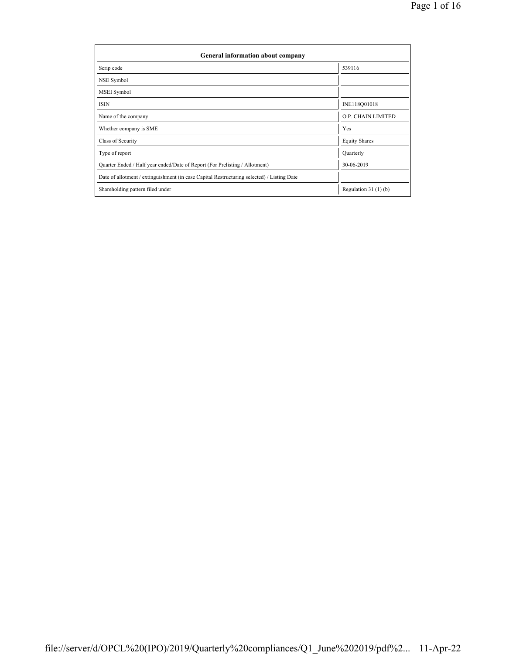| General information about company                                                          |                       |  |  |  |  |  |
|--------------------------------------------------------------------------------------------|-----------------------|--|--|--|--|--|
| Scrip code                                                                                 | 539116                |  |  |  |  |  |
| NSE Symbol                                                                                 |                       |  |  |  |  |  |
| MSEI Symbol                                                                                |                       |  |  |  |  |  |
| <b>ISIN</b>                                                                                | INE118Q01018          |  |  |  |  |  |
| Name of the company                                                                        | O.P. CHAIN LIMITED    |  |  |  |  |  |
| Whether company is SME                                                                     | Yes                   |  |  |  |  |  |
| Class of Security                                                                          | <b>Equity Shares</b>  |  |  |  |  |  |
| Type of report                                                                             | Quarterly             |  |  |  |  |  |
| Quarter Ended / Half year ended/Date of Report (For Prelisting / Allotment)                | 30-06-2019            |  |  |  |  |  |
| Date of allotment / extinguishment (in case Capital Restructuring selected) / Listing Date |                       |  |  |  |  |  |
| Shareholding pattern filed under                                                           | Regulation $31(1)(b)$ |  |  |  |  |  |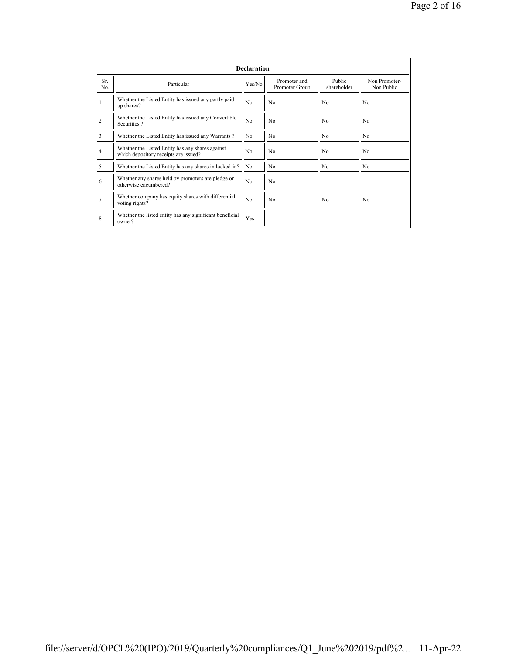|                | <b>Declaration</b>                                                                        |                |                                |                       |                             |  |  |  |  |
|----------------|-------------------------------------------------------------------------------------------|----------------|--------------------------------|-----------------------|-----------------------------|--|--|--|--|
| Sr.<br>No.     | Particular                                                                                | Yes/No         | Promoter and<br>Promoter Group | Public<br>shareholder | Non Promoter-<br>Non Public |  |  |  |  |
|                | Whether the Listed Entity has issued any partly paid<br>up shares?                        | N <sub>0</sub> | N <sub>0</sub>                 | N <sub>0</sub>        | No                          |  |  |  |  |
| $\overline{2}$ | Whether the Listed Entity has issued any Convertible<br>Securities?                       | N <sub>0</sub> | N <sub>0</sub>                 | N <sub>0</sub>        | N <sub>0</sub>              |  |  |  |  |
| 3              | Whether the Listed Entity has issued any Warrants?                                        | N <sub>0</sub> | N <sub>0</sub>                 | N <sub>0</sub>        | N <sub>0</sub>              |  |  |  |  |
| $\overline{4}$ | Whether the Listed Entity has any shares against<br>which depository receipts are issued? | N <sub>0</sub> | N <sub>0</sub>                 | No                    | No                          |  |  |  |  |
| 5              | Whether the Listed Entity has any shares in locked-in?                                    | N <sub>0</sub> | N <sub>0</sub>                 | N <sub>0</sub>        | N <sub>0</sub>              |  |  |  |  |
| 6              | Whether any shares held by promoters are pledge or<br>otherwise encumbered?               | N <sub>0</sub> | N <sub>0</sub>                 |                       |                             |  |  |  |  |
| 7              | Whether company has equity shares with differential<br>voting rights?                     | N <sub>0</sub> | N <sub>0</sub>                 | N <sub>0</sub>        | No                          |  |  |  |  |
| 8              | Whether the listed entity has any significant beneficial<br>owner?                        | Yes            |                                |                       |                             |  |  |  |  |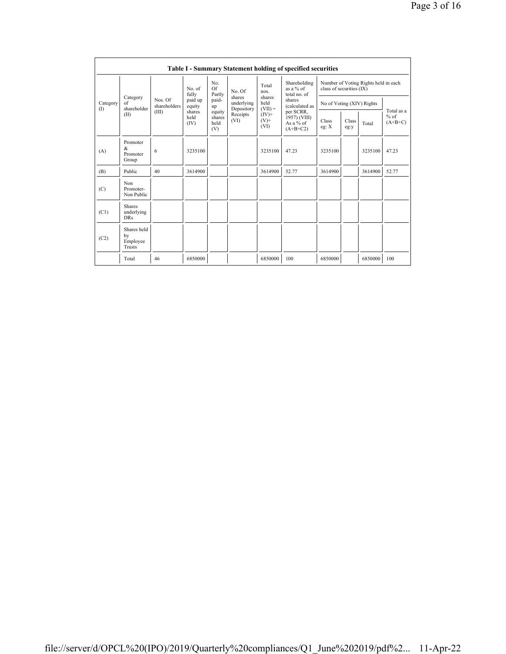|                 | <b>Table I - Summary Statement holding of specified securities</b> |                        |                        |                                 |                                    |                                                                                                                       |                                                      |                                                                  |               |         |                                   |
|-----------------|--------------------------------------------------------------------|------------------------|------------------------|---------------------------------|------------------------------------|-----------------------------------------------------------------------------------------------------------------------|------------------------------------------------------|------------------------------------------------------------------|---------------|---------|-----------------------------------|
|                 |                                                                    | No. of<br>fully        |                        | No.<br>Of<br>Partly             | No Of                              | Shareholding<br>Total<br>as a % of<br>nos.<br>total no. of<br>shares<br>shares<br>held<br>(calculated as<br>$(VII) =$ | per SCRR,<br>1957) (VIII)<br>As a % of<br>$(A+B+C2)$ | Number of Voting Rights held in each<br>class of securities (IX) |               |         |                                   |
| Category<br>(1) | Category<br>of<br>shareholder                                      | Nos Of<br>shareholders | paid up<br>equity      | paid-<br>up                     | shares<br>underlying<br>Depository |                                                                                                                       |                                                      | No of Voting (XIV) Rights                                        |               |         |                                   |
|                 | (II)                                                               | (III)                  | shares<br>held<br>(IV) | equity<br>shares<br>held<br>(V) | Receipts<br>(VI)                   | $(IV)$ +<br>$(V)$ +<br>(VI)                                                                                           |                                                      | Class<br>eg: X                                                   | Class<br>eg:y | Total   | Total as a<br>$%$ of<br>$(A+B+C)$ |
| (A)             | Promoter<br>$\&$<br>Promoter<br>Group                              | 6                      | 3235100                |                                 |                                    | 3235100                                                                                                               | 47.23                                                | 3235100                                                          |               | 3235100 | 47.23                             |
| (B)             | Public                                                             | 40                     | 3614900                |                                 |                                    | 3614900                                                                                                               | 52.77                                                | 3614900                                                          |               | 3614900 | 52.77                             |
| (C)             | Non<br>Promoter-<br>Non Public                                     |                        |                        |                                 |                                    |                                                                                                                       |                                                      |                                                                  |               |         |                                   |
| (C1)            | <b>Shares</b><br>underlying<br><b>DRs</b>                          |                        |                        |                                 |                                    |                                                                                                                       |                                                      |                                                                  |               |         |                                   |
| (C2)            | Shares held<br>by<br>Employee<br>Trusts                            |                        |                        |                                 |                                    |                                                                                                                       |                                                      |                                                                  |               |         |                                   |
|                 | Total                                                              | 46                     | 6850000                |                                 |                                    | 6850000                                                                                                               | 100                                                  | 6850000                                                          |               | 6850000 | 100                               |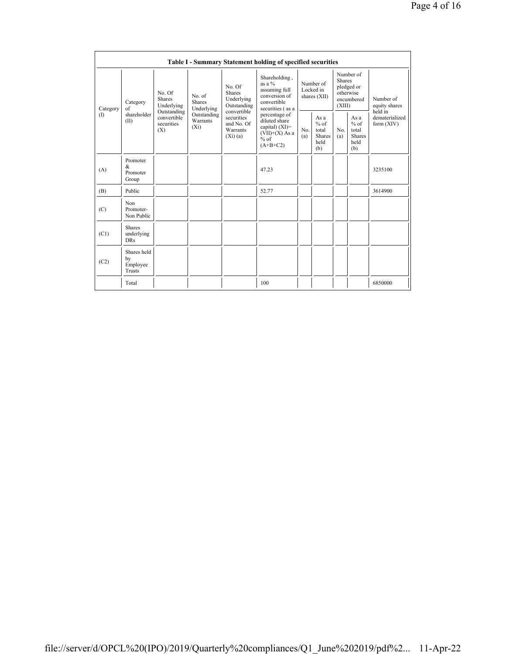|          | Table I - Summary Statement holding of specified securities |                                                 |                                                                                                                                                                                                   |                                                                                                 |                                        |                                                         |                                                                               |                                                         |                                       |         |
|----------|-------------------------------------------------------------|-------------------------------------------------|---------------------------------------------------------------------------------------------------------------------------------------------------------------------------------------------------|-------------------------------------------------------------------------------------------------|----------------------------------------|---------------------------------------------------------|-------------------------------------------------------------------------------|---------------------------------------------------------|---------------------------------------|---------|
| Category | Category<br>of                                              | No. Of<br><b>Shares</b><br>Underlying           | No. Of<br><b>Shares</b><br>No. of<br>Underlying<br>Shares<br>Outstanding<br>Underlying<br>convertible<br>Outstanding<br>securities<br>Warrants<br>and No. Of<br>$(X_i)$<br>Warrants<br>$(Xi)$ (a) | Shareholding,<br>as a $%$<br>assuming full<br>conversion of<br>convertible<br>securities (as a  | Number of<br>Locked in<br>shares (XII) |                                                         | Number of<br><b>Shares</b><br>pledged or<br>otherwise<br>encumbered<br>(XIII) |                                                         | Number of<br>equity shares<br>held in |         |
| (1)      | shareholder<br>(II)                                         | Outstanding<br>convertible<br>securities<br>(X) |                                                                                                                                                                                                   | percentage of<br>diluted share<br>capital) $(XI)$ =<br>$(VII)+(X)$ As a<br>$%$ of<br>$(A+B+C2)$ | No.<br>(a)                             | As a<br>$%$ of<br>total<br><b>Shares</b><br>held<br>(b) | N <sub>0</sub><br>(a)                                                         | As a<br>$%$ of<br>total<br><b>Shares</b><br>held<br>(b) | dematerialized<br>form (XIV)          |         |
| (A)      | Promoter<br>&<br>Promoter<br>Group                          |                                                 |                                                                                                                                                                                                   |                                                                                                 | 47.23                                  |                                                         |                                                                               |                                                         |                                       | 3235100 |
| (B)      | Public                                                      |                                                 |                                                                                                                                                                                                   |                                                                                                 | 52.77                                  |                                                         |                                                                               |                                                         |                                       | 3614900 |
| (C)      | Non<br>Promoter-<br>Non Public                              |                                                 |                                                                                                                                                                                                   |                                                                                                 |                                        |                                                         |                                                                               |                                                         |                                       |         |
| (C1)     | <b>Shares</b><br>underlying<br><b>DRs</b>                   |                                                 |                                                                                                                                                                                                   |                                                                                                 |                                        |                                                         |                                                                               |                                                         |                                       |         |
| (C2)     | Shares held<br>by<br>Employee<br>Trusts                     |                                                 |                                                                                                                                                                                                   |                                                                                                 |                                        |                                                         |                                                                               |                                                         |                                       |         |
|          | Total                                                       |                                                 |                                                                                                                                                                                                   |                                                                                                 | 100                                    |                                                         |                                                                               |                                                         |                                       | 6850000 |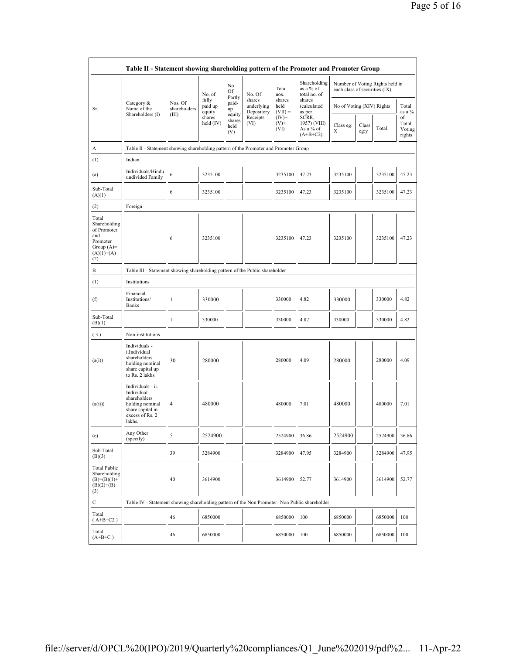|                                                                                                | Table II - Statement showing shareholding pattern of the Promoter and Promoter Group                                |                                                                              |                            |                                 |                                    |                             |                                                  |                           |                                                                  |         |                                 |
|------------------------------------------------------------------------------------------------|---------------------------------------------------------------------------------------------------------------------|------------------------------------------------------------------------------|----------------------------|---------------------------------|------------------------------------|-----------------------------|--------------------------------------------------|---------------------------|------------------------------------------------------------------|---------|---------------------------------|
|                                                                                                |                                                                                                                     |                                                                              | No. of                     | No.<br>Of                       | No. Of                             | Total<br>nos.               | Shareholding<br>as a % of<br>total no. of        |                           | Number of Voting Rights held in<br>each class of securities (IX) |         |                                 |
| Sr.                                                                                            | Category &<br>Name of the<br>Shareholders (I)                                                                       | Nos. Of<br>shareholders<br>(III)                                             | fully<br>paid up<br>equity | Partly<br>paid-<br>up           | shares<br>underlying<br>Depository | shares<br>held<br>$(VII) =$ | shares<br><i>(calculated)</i><br>as per          | No of Voting (XIV) Rights |                                                                  |         | Total<br>as a %                 |
|                                                                                                |                                                                                                                     |                                                                              | shares<br>held $(IV)$      | equity<br>shares<br>held<br>(V) | Receipts<br>(VI)                   | $(IV)^+$<br>$(V)$ +<br>(VI) | SCRR,<br>1957) (VIII)<br>As a % of<br>$(A+B+C2)$ | Class eg:<br>Х            | Class<br>eg:y                                                    | Total   | of<br>Total<br>Voting<br>rights |
| А                                                                                              | Table II - Statement showing shareholding pattern of the Promoter and Promoter Group                                |                                                                              |                            |                                 |                                    |                             |                                                  |                           |                                                                  |         |                                 |
| (1)                                                                                            | Indian                                                                                                              |                                                                              |                            |                                 |                                    |                             |                                                  |                           |                                                                  |         |                                 |
| (a)                                                                                            | Individuals/Hindu<br>undivided Family                                                                               | 6                                                                            | 3235100                    |                                 |                                    | 3235100                     | 47.23                                            | 3235100                   |                                                                  | 3235100 | 47.23                           |
| Sub-Total<br>(A)(1)                                                                            |                                                                                                                     | 6                                                                            | 3235100                    |                                 |                                    | 3235100                     | 47.23                                            | 3235100                   |                                                                  | 3235100 | 47.23                           |
| (2)                                                                                            | Foreign                                                                                                             |                                                                              |                            |                                 |                                    |                             |                                                  |                           |                                                                  |         |                                 |
| Total<br>Shareholding<br>of Promoter<br>and<br>Promoter<br>Group $(A)=$<br>$(A)(1)+(A)$<br>(2) |                                                                                                                     | 6                                                                            | 3235100                    |                                 |                                    | 3235100                     | 47.23                                            | 3235100                   |                                                                  | 3235100 | 47.23                           |
| B                                                                                              |                                                                                                                     | Table III - Statement showing shareholding pattern of the Public shareholder |                            |                                 |                                    |                             |                                                  |                           |                                                                  |         |                                 |
| (1)                                                                                            | Institutions                                                                                                        |                                                                              |                            |                                 |                                    |                             |                                                  |                           |                                                                  |         |                                 |
| (f)                                                                                            | Financial<br>Institutions/<br><b>Banks</b>                                                                          | $\mathbf{1}$                                                                 | 330000                     |                                 |                                    | 330000                      | 4.82                                             | 330000                    |                                                                  | 330000  | 4.82                            |
| Sub-Total<br>(B)(1)                                                                            |                                                                                                                     | $\mathbf{1}$                                                                 | 330000                     |                                 |                                    | 330000                      | 4.82                                             | 330000                    |                                                                  | 330000  | 4.82                            |
| (3)                                                                                            | Non-institutions                                                                                                    |                                                                              |                            |                                 |                                    |                             |                                                  |                           |                                                                  |         |                                 |
| (a(i))                                                                                         | Individuals -<br>i.Individual<br>shareholders<br>holding nominal<br>share capital up<br>to Rs. 2 lakhs.             | 30                                                                           | 280000                     |                                 |                                    | 280000                      | 4.09                                             | 280000                    |                                                                  | 280000  | 4.09                            |
| (a(ii))                                                                                        | Individuals - ii.<br>Individual<br>shareholders<br>holding nominal<br>share capital in<br>excess of Rs. 2<br>lakhs. | 4                                                                            | 480000                     |                                 |                                    | 480000                      | 7.01                                             | 480000                    |                                                                  | 480000  | 7.01                            |
| (e)                                                                                            | Any Other<br>(specify)                                                                                              | 5                                                                            | 2524900                    |                                 |                                    | 2524900                     | 36.86                                            | 2524900                   |                                                                  | 2524900 | 36.86                           |
| Sub-Total<br>(B)(3)                                                                            |                                                                                                                     | 39                                                                           | 3284900                    |                                 |                                    | 3284900                     | 47.95                                            | 3284900                   |                                                                  | 3284900 | 47.95                           |
| <b>Total Public</b><br>Shareholding<br>$(B)=(B)(1)+$<br>$(B)(2)+(B)$<br>(3)                    |                                                                                                                     | 40                                                                           | 3614900                    |                                 |                                    | 3614900                     | 52.77                                            | 3614900                   |                                                                  | 3614900 | 52.77                           |
| С                                                                                              | Table IV - Statement showing shareholding pattern of the Non Promoter- Non Public shareholder                       |                                                                              |                            |                                 |                                    |                             |                                                  |                           |                                                                  |         |                                 |
| Total<br>$(A+B+C2)$                                                                            |                                                                                                                     | 46                                                                           | 6850000                    |                                 |                                    | 6850000                     | 100                                              | 6850000                   |                                                                  | 6850000 | 100                             |
| Total<br>$(A+B+C)$                                                                             |                                                                                                                     | 46                                                                           | 6850000                    |                                 |                                    | 6850000                     | 100                                              | 6850000                   |                                                                  | 6850000 | 100                             |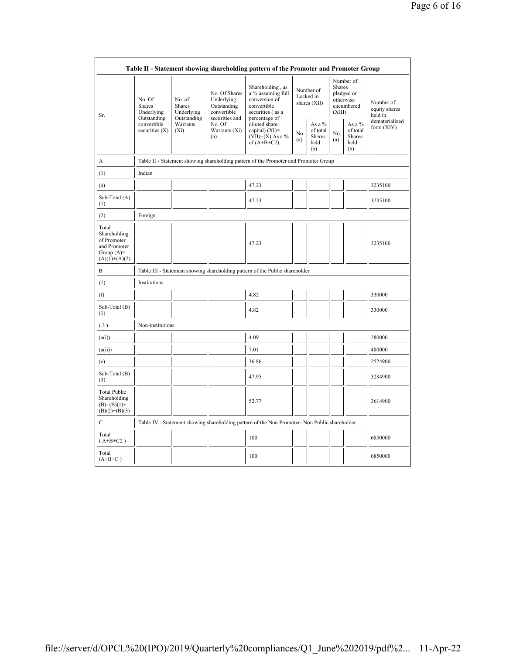|                                                                                         |                                                                                         |                                                      |                                                                             | Table II - Statement showing shareholding pattern of the Promoter and Promoter Group                       |                                        |                                                      |                                                                        |                                                      |                                       |
|-----------------------------------------------------------------------------------------|-----------------------------------------------------------------------------------------|------------------------------------------------------|-----------------------------------------------------------------------------|------------------------------------------------------------------------------------------------------------|----------------------------------------|------------------------------------------------------|------------------------------------------------------------------------|------------------------------------------------------|---------------------------------------|
| Sr.                                                                                     | No. Of<br><b>Shares</b><br>Underlying<br>Outstanding<br>convertible<br>securities $(X)$ | No. of<br><b>Shares</b><br>Underlying<br>Outstanding | No. Of Shares<br>Underlying<br>Outstanding<br>convertible<br>securities and | Shareholding, as<br>a % assuming full<br>conversion of<br>convertible<br>securities (as a<br>percentage of | Number of<br>Locked in<br>shares (XII) |                                                      | Number of<br>Shares<br>pledged or<br>otherwise<br>encumbered<br>(XIII) |                                                      | Number of<br>equity shares<br>held in |
|                                                                                         |                                                                                         | Warrants<br>$(X_i)$                                  | No. Of<br>Warrants (Xi)<br>(a)                                              | diluted share<br>capital) $(XI)$ =<br>$(VII)+(X)$ As a %<br>of $(A+B+C2)$                                  | No.<br>(a)                             | As a $%$<br>of total<br><b>Shares</b><br>held<br>(b) | No.<br>(a)                                                             | As a $%$<br>of total<br><b>Shares</b><br>held<br>(b) | dematerialized<br>form (XIV)          |
| A                                                                                       |                                                                                         |                                                      |                                                                             | Table II - Statement showing shareholding pattern of the Promoter and Promoter Group                       |                                        |                                                      |                                                                        |                                                      |                                       |
| (1)                                                                                     | Indian                                                                                  |                                                      |                                                                             |                                                                                                            |                                        |                                                      |                                                                        |                                                      |                                       |
| (a)                                                                                     |                                                                                         |                                                      |                                                                             | 47.23                                                                                                      |                                        |                                                      |                                                                        |                                                      | 3235100                               |
| Sub-Total (A)<br>(1)                                                                    |                                                                                         |                                                      |                                                                             | 47.23                                                                                                      |                                        |                                                      |                                                                        |                                                      | 3235100                               |
| (2)                                                                                     | Foreign                                                                                 |                                                      |                                                                             |                                                                                                            |                                        |                                                      |                                                                        |                                                      |                                       |
| Total<br>Shareholding<br>of Promoter<br>and Promoter<br>Group $(A)=$<br>$(A)(1)+(A)(2)$ |                                                                                         |                                                      |                                                                             | 47.23                                                                                                      |                                        |                                                      |                                                                        |                                                      | 3235100                               |
| B                                                                                       |                                                                                         |                                                      |                                                                             | Table III - Statement showing shareholding pattern of the Public shareholder                               |                                        |                                                      |                                                                        |                                                      |                                       |
| (1)                                                                                     | Institutions                                                                            |                                                      |                                                                             |                                                                                                            |                                        |                                                      |                                                                        |                                                      |                                       |
| (f)                                                                                     |                                                                                         |                                                      |                                                                             | 4.82                                                                                                       |                                        |                                                      |                                                                        |                                                      | 330000                                |
| Sub-Total (B)<br>(1)                                                                    |                                                                                         |                                                      |                                                                             | 4.82                                                                                                       |                                        |                                                      |                                                                        |                                                      | 330000                                |
| (3)                                                                                     | Non-institutions                                                                        |                                                      |                                                                             |                                                                                                            |                                        |                                                      |                                                                        |                                                      |                                       |
| (a(i))                                                                                  |                                                                                         |                                                      |                                                                             | 4.09                                                                                                       |                                        |                                                      |                                                                        |                                                      | 280000                                |
| (a(ii))                                                                                 |                                                                                         |                                                      |                                                                             | 7.01                                                                                                       |                                        |                                                      |                                                                        |                                                      | 480000                                |
| (e)                                                                                     |                                                                                         |                                                      |                                                                             | 36.86                                                                                                      |                                        |                                                      |                                                                        |                                                      | 2524900                               |
| Sub-Total (B)<br>(3)                                                                    |                                                                                         |                                                      |                                                                             | 47.95                                                                                                      |                                        |                                                      |                                                                        |                                                      | 3284900                               |
| <b>Total Public</b><br>Shareholding<br>$(B)=(B)(1)+$<br>$(B)(2)+(B)(3)$                 |                                                                                         |                                                      |                                                                             | 52.77                                                                                                      |                                        |                                                      |                                                                        |                                                      | 3614900                               |
| C                                                                                       |                                                                                         |                                                      |                                                                             | Table IV - Statement showing shareholding pattern of the Non Promoter- Non Public shareholder              |                                        |                                                      |                                                                        |                                                      |                                       |
| Total<br>$(A+B+C2)$                                                                     |                                                                                         |                                                      |                                                                             | 100                                                                                                        |                                        |                                                      |                                                                        |                                                      | 6850000                               |
| Total<br>$(A+B+C)$                                                                      |                                                                                         |                                                      |                                                                             | 100                                                                                                        |                                        |                                                      |                                                                        |                                                      | 6850000                               |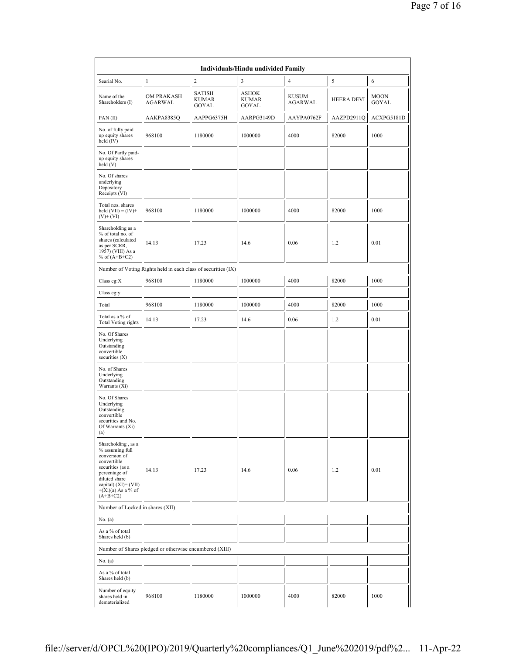| Individuals/Hindu undivided Family                                                                                                                                                        |                                                               |                                        |                                       |                         |                   |                      |  |  |
|-------------------------------------------------------------------------------------------------------------------------------------------------------------------------------------------|---------------------------------------------------------------|----------------------------------------|---------------------------------------|-------------------------|-------------------|----------------------|--|--|
| Searial No.                                                                                                                                                                               | 1                                                             | $\overline{c}$                         | 3                                     | 4                       | 5                 | 6                    |  |  |
| Name of the<br>Shareholders (I)                                                                                                                                                           | OM PRAKASH<br>AGARWAL                                         | <b>SATISH</b><br><b>KUMAR</b><br>GOYAL | <b>ASHOK</b><br><b>KUMAR</b><br>GOYAL | <b>KUSUM</b><br>AGARWAL | <b>HEERA DEVI</b> | <b>MOON</b><br>GOYAL |  |  |
| PAN(II)                                                                                                                                                                                   | AAKPA8385Q                                                    | AAPPG6375H                             | AARPG3149D                            | AAYPA0762F              | AAZPD2911Q        | ACXPG5181D           |  |  |
| No. of fully paid<br>up equity shares<br>held (IV)                                                                                                                                        | 968100                                                        | 1180000                                | 1000000                               | 4000                    | 82000             | 1000                 |  |  |
| No. Of Partly paid-<br>up equity shares<br>held(V)                                                                                                                                        |                                                               |                                        |                                       |                         |                   |                      |  |  |
| No. Of shares<br>underlying<br>Depository<br>Receipts (VI)                                                                                                                                |                                                               |                                        |                                       |                         |                   |                      |  |  |
| Total nos. shares<br>held $(VII) = (IV) +$<br>$(V)+(VI)$                                                                                                                                  | 968100                                                        | 1180000                                | 1000000                               | 4000                    | 82000             | 1000                 |  |  |
| Shareholding as a<br>% of total no. of<br>shares (calculated<br>as per SCRR,<br>1957) (VIII) As a<br>% of $(A+B+C2)$                                                                      | 14.13                                                         | 17.23                                  | 14.6                                  | 0.06                    | 1.2               | 0.01                 |  |  |
|                                                                                                                                                                                           | Number of Voting Rights held in each class of securities (IX) |                                        |                                       |                         |                   |                      |  |  |
| Class eg:X                                                                                                                                                                                | 968100                                                        | 1180000                                | 1000000                               | 4000                    | 82000             | 1000                 |  |  |
| Class eg:y                                                                                                                                                                                |                                                               |                                        |                                       |                         |                   |                      |  |  |
| Total                                                                                                                                                                                     | 968100                                                        | 1180000                                | 1000000                               | 4000                    | 82000             | 1000                 |  |  |
| Total as a % of<br><b>Total Voting rights</b>                                                                                                                                             | 14.13                                                         | 17.23                                  | 14.6                                  | 0.06                    | 1.2               | 0.01                 |  |  |
| No. Of Shares<br>Underlying<br>Outstanding<br>convertible<br>securities $(X)$                                                                                                             |                                                               |                                        |                                       |                         |                   |                      |  |  |
| No. of Shares<br>Underlying<br>Outstanding<br>Warrants (Xi)                                                                                                                               |                                                               |                                        |                                       |                         |                   |                      |  |  |
| No. Of Shares<br>Underlying<br>Outstanding<br>convertible<br>securities and No.<br>Of Warrants (Xi)<br>(a)                                                                                |                                                               |                                        |                                       |                         |                   |                      |  |  |
| Shareholding, as a<br>% assuming full<br>conversion of<br>convertible<br>securities (as a<br>percentage of<br>diluted share<br>capital) (XI)= (VII)<br>$+(Xi)(a)$ As a % of<br>$(A+B+C2)$ | 14.13                                                         | 17.23                                  | 14.6                                  | 0.06                    | 1.2               | 0.01                 |  |  |
| Number of Locked in shares (XII)                                                                                                                                                          |                                                               |                                        |                                       |                         |                   |                      |  |  |
| No. (a)                                                                                                                                                                                   |                                                               |                                        |                                       |                         |                   |                      |  |  |
| As a % of total<br>Shares held (b)                                                                                                                                                        |                                                               |                                        |                                       |                         |                   |                      |  |  |
|                                                                                                                                                                                           | Number of Shares pledged or otherwise encumbered (XIII)       |                                        |                                       |                         |                   |                      |  |  |
| No. (a)                                                                                                                                                                                   |                                                               |                                        |                                       |                         |                   |                      |  |  |
| As a % of total<br>Shares held (b)                                                                                                                                                        |                                                               |                                        |                                       |                         |                   |                      |  |  |
| Number of equity<br>shares held in<br>dematerialized                                                                                                                                      | 968100                                                        | 1180000                                | 1000000                               | 4000                    | 82000             | 1000                 |  |  |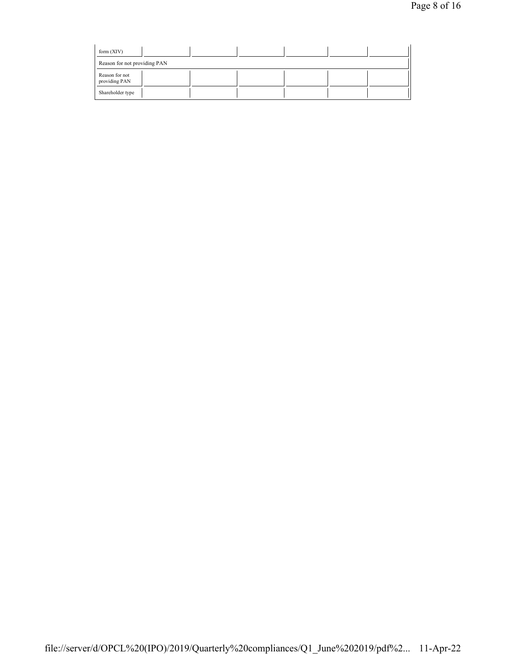| form $(XIV)$                    |  |  |  |
|---------------------------------|--|--|--|
| Reason for not providing PAN    |  |  |  |
| Reason for not<br>providing PAN |  |  |  |
| Shareholder type                |  |  |  |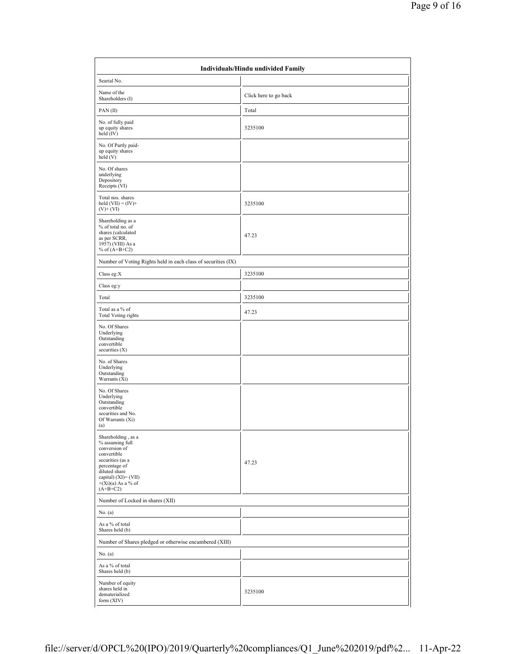| Individuals/Hindu undivided Family                                                                                                                                                           |                       |  |  |  |  |
|----------------------------------------------------------------------------------------------------------------------------------------------------------------------------------------------|-----------------------|--|--|--|--|
| Searial No.                                                                                                                                                                                  |                       |  |  |  |  |
| Name of the<br>Shareholders (I)                                                                                                                                                              | Click here to go back |  |  |  |  |
| PAN(II)                                                                                                                                                                                      | Total                 |  |  |  |  |
| No. of fully paid<br>up equity shares<br>held (IV)                                                                                                                                           | 3235100               |  |  |  |  |
| No. Of Partly paid-<br>up equity shares<br>held (V)                                                                                                                                          |                       |  |  |  |  |
| No. Of shares<br>underlying<br>Depository<br>Receipts (VI)                                                                                                                                   |                       |  |  |  |  |
| Total nos. shares<br>held $(VII) = (IV) +$<br>$(V)+(VI)$                                                                                                                                     | 3235100               |  |  |  |  |
| Shareholding as a<br>% of total no. of<br>shares (calculated<br>as per SCRR,<br>1957) (VIII) As a<br>% of $(A+B+C2)$                                                                         | 47.23                 |  |  |  |  |
| Number of Voting Rights held in each class of securities (IX)                                                                                                                                |                       |  |  |  |  |
| Class eg:X                                                                                                                                                                                   | 3235100               |  |  |  |  |
| Class eg:y                                                                                                                                                                                   |                       |  |  |  |  |
| Total                                                                                                                                                                                        | 3235100               |  |  |  |  |
| Total as a % of<br><b>Total Voting rights</b>                                                                                                                                                | 47.23                 |  |  |  |  |
| No. Of Shares<br>Underlying<br>Outstanding<br>convertible<br>securities $(X)$                                                                                                                |                       |  |  |  |  |
| No. of Shares<br>Underlying<br>Outstanding<br>Warrants (Xi)                                                                                                                                  |                       |  |  |  |  |
| No. Of Shares<br>Underlying<br>Outstanding<br>convertible<br>securities and No.<br>Of Warrants (Xi)<br>(a)                                                                                   |                       |  |  |  |  |
| Shareholding, as a<br>% assuming full<br>conversion of<br>convertible<br>securities (as a<br>percentage of<br>diluted share<br>capital) $(XI) = (VII)$<br>$+(Xi)(a)$ As a % of<br>$(A+B+C2)$ | 47.23                 |  |  |  |  |
| Number of Locked in shares (XII)                                                                                                                                                             |                       |  |  |  |  |
| No. (a)                                                                                                                                                                                      |                       |  |  |  |  |
| As a % of total<br>Shares held (b)                                                                                                                                                           |                       |  |  |  |  |
| Number of Shares pledged or otherwise encumbered (XIII)                                                                                                                                      |                       |  |  |  |  |
| No. $(a)$                                                                                                                                                                                    |                       |  |  |  |  |
| As a % of total<br>Shares held (b)                                                                                                                                                           |                       |  |  |  |  |
| Number of equity<br>shares held in<br>dematerialized<br>form (XIV)                                                                                                                           | 3235100               |  |  |  |  |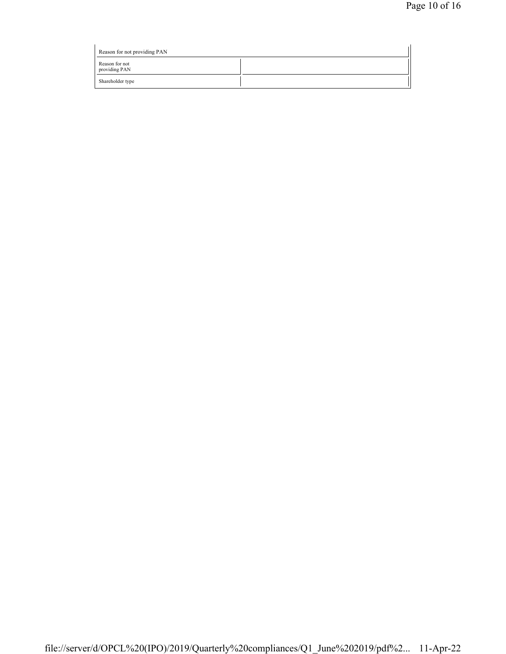| Reason for not providing PAN    |  |
|---------------------------------|--|
| Reason for not<br>providing PAN |  |
| Shareholder type                |  |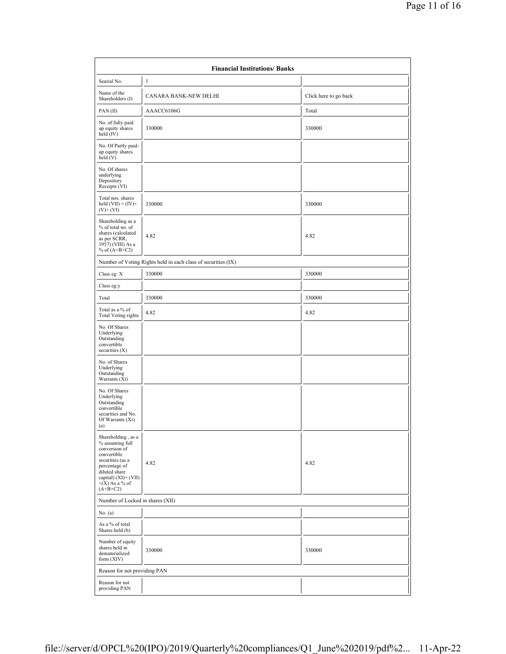|                                                                                                                                                                                       | <b>Financial Institutions/ Banks</b>                          |                       |  |  |  |  |  |  |
|---------------------------------------------------------------------------------------------------------------------------------------------------------------------------------------|---------------------------------------------------------------|-----------------------|--|--|--|--|--|--|
| Searial No.                                                                                                                                                                           | $\mathbf{1}$                                                  |                       |  |  |  |  |  |  |
| Name of the<br>Shareholders (I)                                                                                                                                                       | CANARA BANK-NEW DELHI                                         | Click here to go back |  |  |  |  |  |  |
| PAN(II)                                                                                                                                                                               | AAACC6106G                                                    | Total                 |  |  |  |  |  |  |
| No. of fully paid<br>up equity shares<br>held (IV)                                                                                                                                    | 330000                                                        | 330000                |  |  |  |  |  |  |
| No. Of Partly paid-<br>up equity shares<br>held(V)                                                                                                                                    |                                                               |                       |  |  |  |  |  |  |
| No. Of shares<br>underlying<br>Depository<br>Receipts (VI)                                                                                                                            |                                                               |                       |  |  |  |  |  |  |
| Total nos. shares<br>held $(VII) = (IV) +$<br>$(V)+(VI)$                                                                                                                              | 330000                                                        | 330000                |  |  |  |  |  |  |
| Shareholding as a<br>% of total no. of<br>shares (calculated<br>as per SCRR,<br>1957) (VIII) As a<br>% of $(A+B+C2)$                                                                  | 4.82                                                          | 4.82                  |  |  |  |  |  |  |
|                                                                                                                                                                                       | Number of Voting Rights held in each class of securities (IX) |                       |  |  |  |  |  |  |
| Class eg: X                                                                                                                                                                           | 330000                                                        | 330000                |  |  |  |  |  |  |
| Class eg:y                                                                                                                                                                            |                                                               |                       |  |  |  |  |  |  |
| Total                                                                                                                                                                                 | 330000                                                        | 330000                |  |  |  |  |  |  |
| Total as a % of<br><b>Total Voting rights</b>                                                                                                                                         | 4.82                                                          | 4.82                  |  |  |  |  |  |  |
| No. Of Shares<br>Underlying<br>Outstanding<br>convertible<br>securities $(X)$                                                                                                         |                                                               |                       |  |  |  |  |  |  |
| No. of Shares<br>Underlying<br>Outstanding<br>Warrants $(X_i)$                                                                                                                        |                                                               |                       |  |  |  |  |  |  |
| No. Of Shares<br>Underlying<br>Outstanding<br>convertible<br>securities and No.<br>Of Warrants (Xi)<br>(a)                                                                            |                                                               |                       |  |  |  |  |  |  |
| Shareholding, as a<br>% assuming full<br>conversion of<br>convertible<br>securities (as a<br>percentage of<br>diluted share<br>capital) (XI)= (VII)<br>$+(X)$ As a % of<br>$(A+B+C2)$ | 4.82                                                          | 4.82                  |  |  |  |  |  |  |
|                                                                                                                                                                                       | Number of Locked in shares (XII)                              |                       |  |  |  |  |  |  |
| No. (a)                                                                                                                                                                               |                                                               |                       |  |  |  |  |  |  |
| As a % of total<br>Shares held (b)                                                                                                                                                    |                                                               |                       |  |  |  |  |  |  |
| Number of equity<br>shares held in<br>dematerialized<br>form (XIV)                                                                                                                    | 330000                                                        | 330000                |  |  |  |  |  |  |
| Reason for not providing PAN                                                                                                                                                          |                                                               |                       |  |  |  |  |  |  |
| Reason for not<br>providing PAN                                                                                                                                                       |                                                               |                       |  |  |  |  |  |  |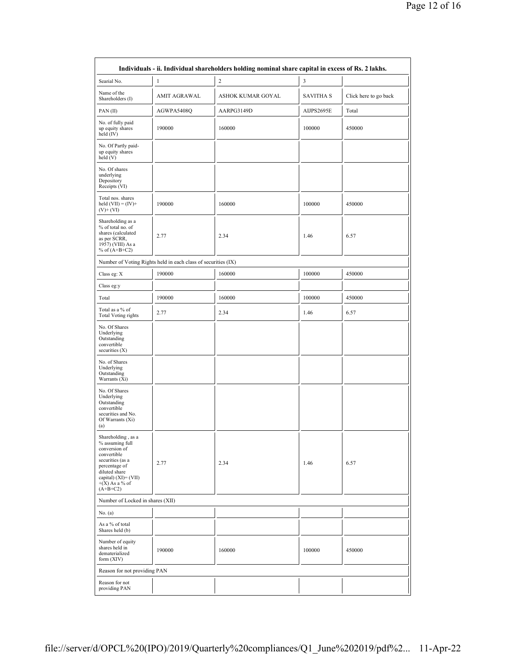| Individuals - ii. Individual shareholders holding nominal share capital in excess of Rs. 2 lakhs.                                                                                        |                                                               |                   |                  |                       |  |  |  |
|------------------------------------------------------------------------------------------------------------------------------------------------------------------------------------------|---------------------------------------------------------------|-------------------|------------------|-----------------------|--|--|--|
| Searial No.                                                                                                                                                                              | $\mathbf{1}$                                                  | $\overline{c}$    | 3                |                       |  |  |  |
| Name of the<br>Shareholders (I)                                                                                                                                                          | AMIT AGRAWAL                                                  | ASHOK KUMAR GOYAL | <b>SAVITHA S</b> | Click here to go back |  |  |  |
| PAN(II)                                                                                                                                                                                  | AGWPA5408Q                                                    | AARPG3149D        | AIJPS2695E       | Total                 |  |  |  |
| No. of fully paid<br>up equity shares<br>held (IV)                                                                                                                                       | 190000                                                        | 160000            | 100000           | 450000                |  |  |  |
| No. Of Partly paid-<br>up equity shares<br>held (V)                                                                                                                                      |                                                               |                   |                  |                       |  |  |  |
| No. Of shares<br>underlying<br>Depository<br>Receipts (VI)                                                                                                                               |                                                               |                   |                  |                       |  |  |  |
| Total nos. shares<br>held $(VII) = (IV) +$<br>$(V)+(VI)$                                                                                                                                 | 190000                                                        | 160000            | 100000           | 450000                |  |  |  |
| Shareholding as a<br>% of total no. of<br>shares (calculated<br>as per SCRR,<br>1957) (VIII) As a<br>% of $(A+B+C2)$                                                                     | 2.77                                                          | 2.34              | 1.46             | 6.57                  |  |  |  |
|                                                                                                                                                                                          | Number of Voting Rights held in each class of securities (IX) |                   |                  |                       |  |  |  |
| Class eg: X                                                                                                                                                                              | 190000                                                        | 160000            | 100000           | 450000                |  |  |  |
| Class eg:y                                                                                                                                                                               |                                                               |                   |                  |                       |  |  |  |
| Total                                                                                                                                                                                    | 190000                                                        | 160000            | 100000           | 450000                |  |  |  |
| Total as a % of<br><b>Total Voting rights</b>                                                                                                                                            | 2.77                                                          | 2.34              | 1.46             | 6.57                  |  |  |  |
| No. Of Shares<br>Underlying<br>Outstanding<br>convertible<br>securities $(X)$                                                                                                            |                                                               |                   |                  |                       |  |  |  |
| No. of Shares<br>Underlying<br>Outstanding<br>Warrants (Xi)                                                                                                                              |                                                               |                   |                  |                       |  |  |  |
| No. Of Shares<br>Underlying<br>Outstanding<br>convertible<br>securities and No.<br>Of Warrants (Xi)<br>(a)                                                                               |                                                               |                   |                  |                       |  |  |  |
| Shareholding, as a<br>% assuming full<br>conversion of<br>convertible<br>securities (as a<br>percentage of<br>diluted share<br>capital) $(XI) = (VII)$<br>$+(X)$ As a % of<br>$(A+B+C2)$ | 2.77                                                          | 2.34              | 1.46             | 6.57                  |  |  |  |
| Number of Locked in shares (XII)                                                                                                                                                         |                                                               |                   |                  |                       |  |  |  |
| No. (a)                                                                                                                                                                                  |                                                               |                   |                  |                       |  |  |  |
| As a % of total<br>Shares held (b)                                                                                                                                                       |                                                               |                   |                  |                       |  |  |  |
| Number of equity<br>shares held in<br>dematerialized<br>form $(XIV)$                                                                                                                     | 190000                                                        | 160000            | 100000           | 450000                |  |  |  |
| Reason for not providing PAN                                                                                                                                                             |                                                               |                   |                  |                       |  |  |  |
| Reason for not<br>providing PAN                                                                                                                                                          |                                                               |                   |                  |                       |  |  |  |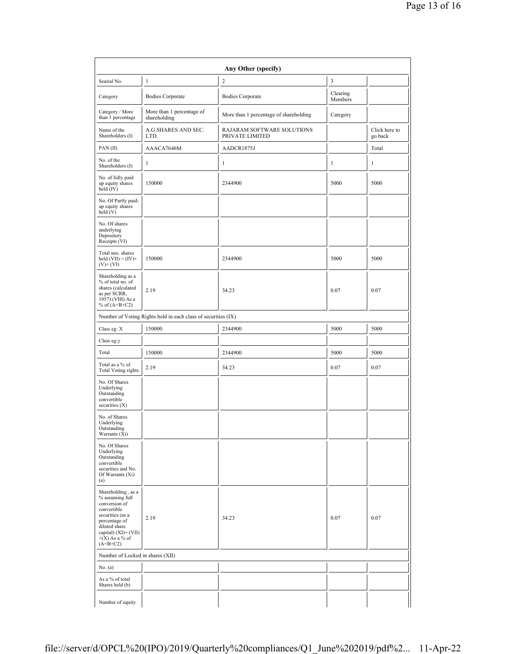|                                                                                                                                                                                       |                                                               | Any Other (specify)                           |                     |                          |
|---------------------------------------------------------------------------------------------------------------------------------------------------------------------------------------|---------------------------------------------------------------|-----------------------------------------------|---------------------|--------------------------|
| Searial No.                                                                                                                                                                           | 1                                                             | $\overline{c}$                                | 3                   |                          |
| Category                                                                                                                                                                              | <b>Bodies Corporate</b>                                       | <b>Bodies Corporate</b>                       | Clearing<br>Members |                          |
| Category / More<br>than 1 percentage                                                                                                                                                  | More than 1 percentage of<br>shareholding                     | More than 1 percentage of shareholding        | Category            |                          |
| Name of the<br>Shareholders (I)                                                                                                                                                       | A.G.SHARES AND SEC.<br>LTD.                                   | RAJARAM SOFTWARE SOLUTIONS<br>PRIVATE LIMITED |                     | Click here to<br>go back |
| PAN(II)                                                                                                                                                                               | AAACA7646M                                                    | AADCR1875J                                    |                     | Total                    |
| No. of the<br>Shareholders (I)                                                                                                                                                        | 1                                                             | 1                                             | 1                   | 1                        |
| No. of fully paid<br>up equity shares<br>held (IV)                                                                                                                                    | 150000                                                        | 2344900                                       | 5000                | 5000                     |
| No. Of Partly paid-<br>up equity shares<br>held (V)                                                                                                                                   |                                                               |                                               |                     |                          |
| No. Of shares<br>underlying<br>Depository<br>Receipts (VI)                                                                                                                            |                                                               |                                               |                     |                          |
| Total nos. shares<br>held $(VII) = (IV) +$<br>$(V)+(VI)$                                                                                                                              | 150000                                                        | 2344900                                       | 5000                | 5000                     |
| Shareholding as a<br>% of total no. of<br>shares (calculated<br>as per SCRR,<br>1957) (VIII) As a<br>% of $(A+B+C2)$                                                                  | 2.19                                                          | 34.23                                         | 0.07                | 0.07                     |
|                                                                                                                                                                                       | Number of Voting Rights held in each class of securities (IX) |                                               |                     |                          |
| Class eg: X                                                                                                                                                                           | 150000                                                        | 2344900                                       | 5000                | 5000                     |
| Class eg:y                                                                                                                                                                            |                                                               |                                               |                     |                          |
| Total                                                                                                                                                                                 | 150000                                                        | 2344900                                       | 5000                | 5000                     |
| Total as a % of<br><b>Total Voting rights</b>                                                                                                                                         | 2.19                                                          | 34.23                                         | 0.07                | 0.07                     |
| No. Of Shares<br>Underlying<br>Outstanding<br>convertible<br>securities $(X)$                                                                                                         |                                                               |                                               |                     |                          |
| No. of Shares<br>Underlying<br>Outstanding<br>Warrants (Xi)                                                                                                                           |                                                               |                                               |                     |                          |
| No. Of Shares<br>Underlying<br>Outstanding<br>convertible<br>securities and No.<br>Of Warrants (Xi)<br>(a)                                                                            |                                                               |                                               |                     |                          |
| Shareholding, as a<br>% assuming full<br>conversion of<br>convertible<br>securities (as a<br>percentage of<br>diluted share<br>capital) (XI)= (VII)<br>$+(X)$ As a % of<br>$(A+B+C2)$ | 2.19                                                          | 34.23                                         | 0.07                | 0.07                     |
| Number of Locked in shares (XII)                                                                                                                                                      |                                                               |                                               |                     |                          |
| No. $(a)$                                                                                                                                                                             |                                                               |                                               |                     |                          |
| As a % of total<br>Shares held (b)                                                                                                                                                    |                                                               |                                               |                     |                          |
| Number of equity                                                                                                                                                                      |                                                               |                                               |                     |                          |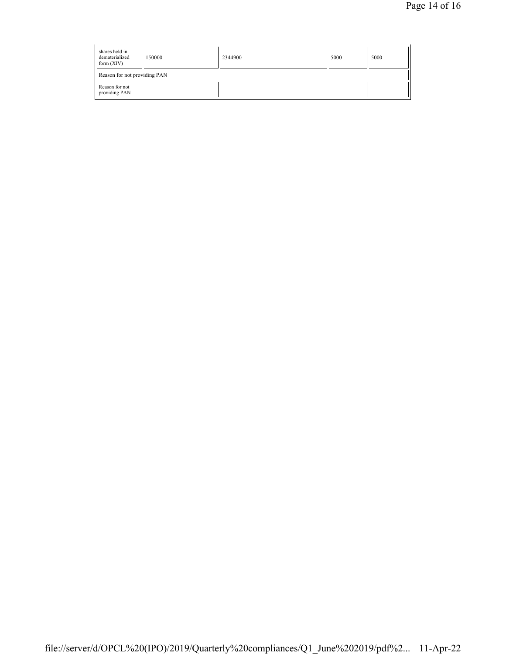| shares held in<br>dematerialized<br>form $(XIV)$ | 150000 | 2344900 | 5000 | 5000 |  |
|--------------------------------------------------|--------|---------|------|------|--|
| Reason for not providing PAN                     |        |         |      |      |  |
| Reason for not<br>providing PAN                  |        |         |      |      |  |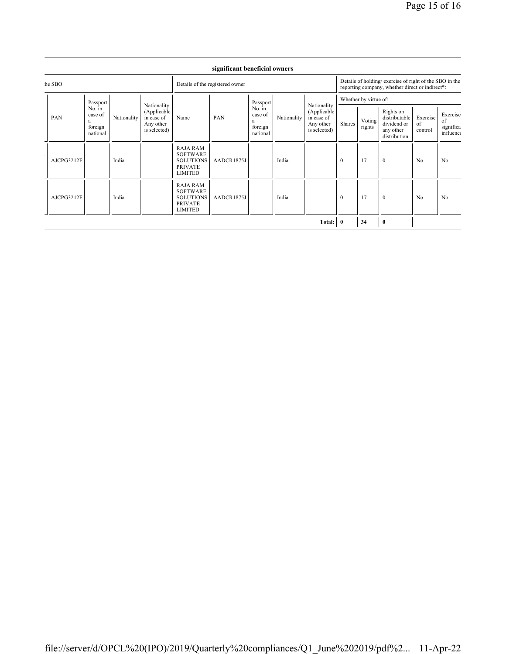| he SBO     |                                                                          | Details of the registered owner                                       |             |                                                                                     |                                                           | Details of holding/exercise of right of the SBO in the<br>reporting company, whether direct or indirect*: |                                                                        |                       |                  |                                                                        |                           |                                          |                |
|------------|--------------------------------------------------------------------------|-----------------------------------------------------------------------|-------------|-------------------------------------------------------------------------------------|-----------------------------------------------------------|-----------------------------------------------------------------------------------------------------------|------------------------------------------------------------------------|-----------------------|------------------|------------------------------------------------------------------------|---------------------------|------------------------------------------|----------------|
| PAN        | Passport<br>No. in<br>case of<br>Nationality<br>a<br>foreign<br>national |                                                                       | PAN<br>Name |                                                                                     | Passport<br>No. in<br>case of<br>a<br>foreign<br>national |                                                                                                           | Nationality<br>(Applicable)<br>in case of<br>Any other<br>is selected) | Whether by virtue of: |                  |                                                                        |                           |                                          |                |
|            |                                                                          | Nationality<br>(Applicable<br>in case of<br>Any other<br>is selected) |             |                                                                                     |                                                           | Nationality                                                                                               |                                                                        | Shares                | Voting<br>rights | Rights on<br>distributable<br>dividend or<br>any other<br>distribution | Exercise<br>of<br>control | Exercise<br>of<br>significa<br>influence |                |
| AJCPG3212F |                                                                          | India                                                                 |             | <b>RAJA RAM</b><br><b>SOFTWARE</b><br><b>SOLUTIONS</b><br><b>PRIVATE</b><br>LIMITED | AADCR1875J                                                |                                                                                                           | India                                                                  |                       | $\overline{0}$   | 17                                                                     | $\mathbf{0}$              | N <sub>0</sub>                           | N <sub>0</sub> |
| AJCPG3212F |                                                                          | India                                                                 |             | RAJA RAM<br><b>SOFTWARE</b><br><b>SOLUTIONS</b><br><b>PRIVATE</b><br>LIMITED        | AADCR1875J                                                |                                                                                                           | India                                                                  |                       | $\overline{0}$   | 17                                                                     | $\mathbf{0}$              | No                                       | N <sub>0</sub> |